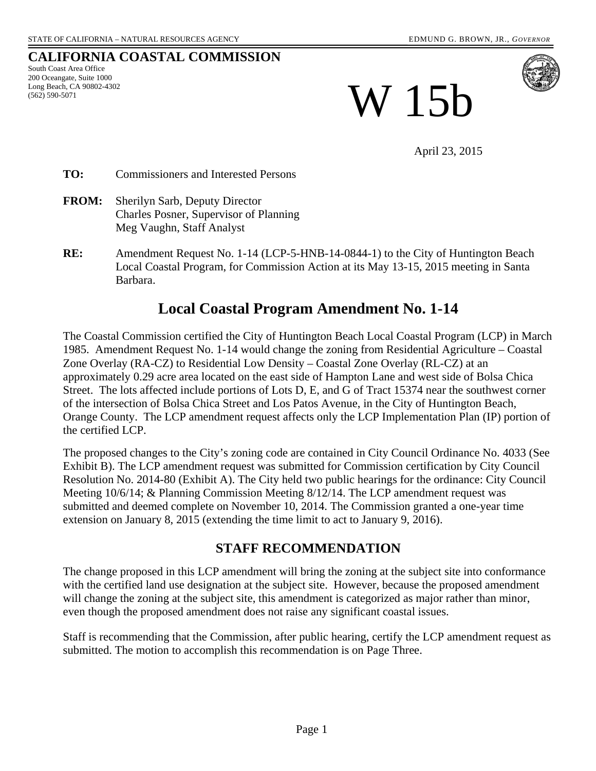#### **CALIFORNIA COASTAL COMMISSION**

South Coast Area Office 200 Oceangate, Suite 1000 Long Beach, CA 90802-4302 (562) 590-5071

W 15b

April 23, 2015

**TO:** Commissioners and Interested Persons

- **FROM:** Sherilyn Sarb, Deputy Director Charles Posner, Supervisor of Planning Meg Vaughn, Staff Analyst
- **RE:** Amendment Request No. 1-14 (LCP-5-HNB-14-0844-1) to the City of Huntington Beach Local Coastal Program, for Commission Action at its May 13-15, 2015 meeting in Santa Barbara.

# **Local Coastal Program Amendment No. 1-14**

The Coastal Commission certified the City of Huntington Beach Local Coastal Program (LCP) in March 1985. Amendment Request No. 1-14 would change the zoning from Residential Agriculture – Coastal Zone Overlay (RA-CZ) to Residential Low Density – Coastal Zone Overlay (RL-CZ) at an approximately 0.29 acre area located on the east side of Hampton Lane and west side of Bolsa Chica Street. The lots affected include portions of Lots D, E, and G of Tract 15374 near the southwest corner of the intersection of Bolsa Chica Street and Los Patos Avenue, in the City of Huntington Beach, Orange County. The LCP amendment request affects only the LCP Implementation Plan (IP) portion of the certified LCP.

The proposed changes to the City's zoning code are contained in City Council Ordinance No. 4033 (See Exhibit B). The LCP amendment request was submitted for Commission certification by City Council Resolution No. 2014-80 (Exhibit A). The City held two public hearings for the ordinance: City Council Meeting 10/6/14; & Planning Commission Meeting 8/12/14. The LCP amendment request was submitted and deemed complete on November 10, 2014. The Commission granted a one-year time extension on January 8, 2015 (extending the time limit to act to January 9, 2016).

## **STAFF RECOMMENDATION**

The change proposed in this LCP amendment will bring the zoning at the subject site into conformance with the certified land use designation at the subject site. However, because the proposed amendment will change the zoning at the subject site, this amendment is categorized as major rather than minor, even though the proposed amendment does not raise any significant coastal issues.

Staff is recommending that the Commission, after public hearing, certify the LCP amendment request as submitted. The motion to accomplish this recommendation is on Page Three.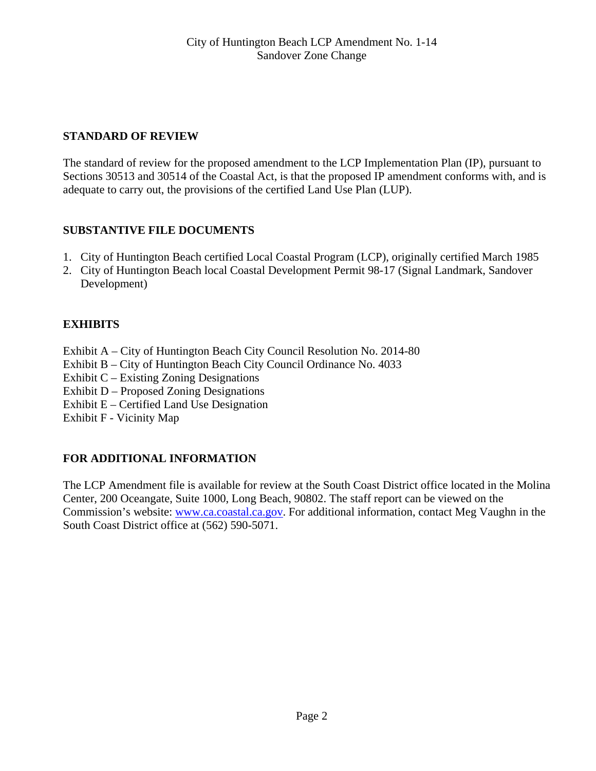## **STANDARD OF REVIEW**

The standard of review for the proposed amendment to the LCP Implementation Plan (IP), pursuant to Sections 30513 and 30514 of the Coastal Act, is that the proposed IP amendment conforms with, and is adequate to carry out, the provisions of the certified Land Use Plan (LUP).

## **SUBSTANTIVE FILE DOCUMENTS**

- 1. City of Huntington Beach certified Local Coastal Program (LCP), originally certified March 1985
- 2. City of Huntington Beach local Coastal Development Permit 98-17 (Signal Landmark, Sandover Development)

# **EXHIBITS**

- Exhibit A City of Huntington Beach City Council Resolution No. 2014-80
- Exhibit B City of Huntington Beach City Council Ordinance No. 4033
- Exhibit C Existing Zoning Designations
- Exhibit D Proposed Zoning Designations
- Exhibit E Certified Land Use Designation
- Exhibit F Vicinity Map

## **FOR ADDITIONAL INFORMATION**

The LCP Amendment file is available for review at the South Coast District office located in the Molina Center, 200 Oceangate, Suite 1000, Long Beach, 90802. The staff report can be viewed on the Commission's website: [www.ca.coastal.ca.gov.](http://www.ca.coastal.ca.gov/) For additional information, contact Meg Vaughn in the South Coast District office at (562) 590-5071.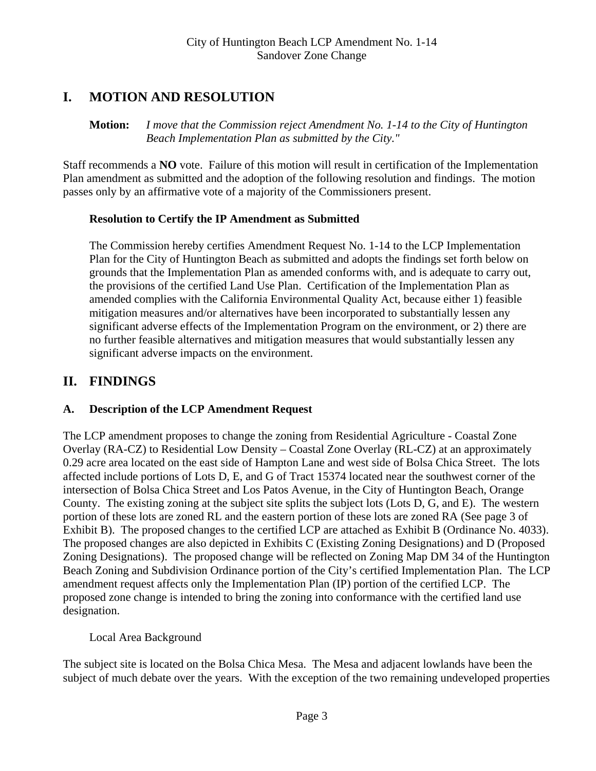# **I. MOTION AND RESOLUTION**

**Motion:** *I move that the Commission reject Amendment No. 1-14 to the City of Huntington Beach Implementation Plan as submitted by the City."* 

Staff recommends a **NO** vote. Failure of this motion will result in certification of the Implementation Plan amendment as submitted and the adoption of the following resolution and findings. The motion passes only by an affirmative vote of a majority of the Commissioners present.

## **Resolution to Certify the IP Amendment as Submitted**

The Commission hereby certifies Amendment Request No. 1-14 to the LCP Implementation Plan for the City of Huntington Beach as submitted and adopts the findings set forth below on grounds that the Implementation Plan as amended conforms with, and is adequate to carry out, the provisions of the certified Land Use Plan. Certification of the Implementation Plan as amended complies with the California Environmental Quality Act, because either 1) feasible mitigation measures and/or alternatives have been incorporated to substantially lessen any significant adverse effects of the Implementation Program on the environment, or 2) there are no further feasible alternatives and mitigation measures that would substantially lessen any significant adverse impacts on the environment.

# **II. FINDINGS**

## **A. Description of the LCP Amendment Request**

The LCP amendment proposes to change the zoning from Residential Agriculture - Coastal Zone Overlay (RA-CZ) to Residential Low Density – Coastal Zone Overlay (RL-CZ) at an approximately 0.29 acre area located on the east side of Hampton Lane and west side of Bolsa Chica Street. The lots affected include portions of Lots D, E, and G of Tract 15374 located near the southwest corner of the intersection of Bolsa Chica Street and Los Patos Avenue, in the City of Huntington Beach, Orange County. The existing zoning at the subject site splits the subject lots (Lots D, G, and E). The western portion of these lots are zoned RL and the eastern portion of these lots are zoned RA (See page 3 of Exhibit B). The proposed changes to the certified LCP are attached as Exhibit B (Ordinance No. 4033). The proposed changes are also depicted in Exhibits C (Existing Zoning Designations) and D (Proposed Zoning Designations). The proposed change will be reflected on Zoning Map DM 34 of the Huntington Beach Zoning and Subdivision Ordinance portion of the City's certified Implementation Plan. The LCP amendment request affects only the Implementation Plan (IP) portion of the certified LCP. The proposed zone change is intended to bring the zoning into conformance with the certified land use designation.

## Local Area Background

The subject site is located on the Bolsa Chica Mesa. The Mesa and adjacent lowlands have been the subject of much debate over the years. With the exception of the two remaining undeveloped properties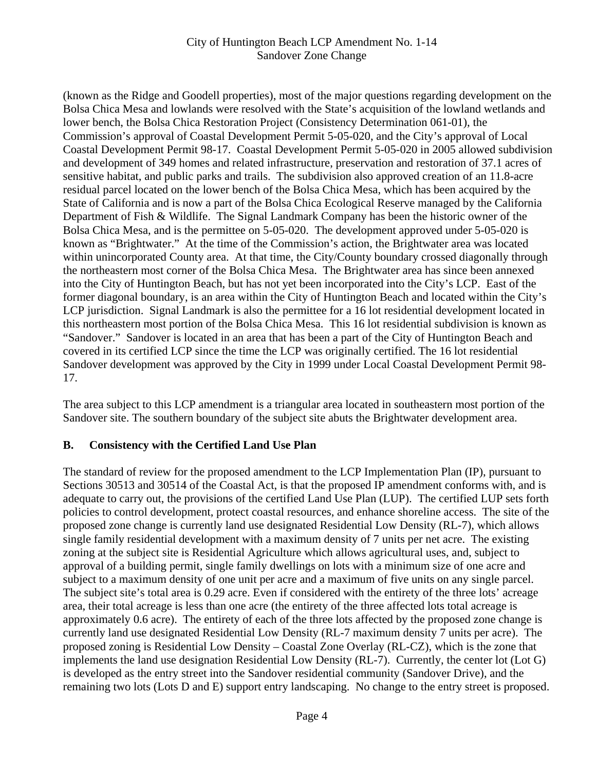#### City of Huntington Beach LCP Amendment No. 1-14 Sandover Zone Change

(known as the Ridge and Goodell properties), most of the major questions regarding development on the Bolsa Chica Mesa and lowlands were resolved with the State's acquisition of the lowland wetlands and lower bench, the Bolsa Chica Restoration Project (Consistency Determination 061-01), the Commission's approval of Coastal Development Permit 5-05-020, and the City's approval of Local Coastal Development Permit 98-17. Coastal Development Permit 5-05-020 in 2005 allowed subdivision and development of 349 homes and related infrastructure, preservation and restoration of 37.1 acres of sensitive habitat, and public parks and trails. The subdivision also approved creation of an 11.8-acre residual parcel located on the lower bench of the Bolsa Chica Mesa, which has been acquired by the State of California and is now a part of the Bolsa Chica Ecological Reserve managed by the California Department of Fish & Wildlife. The Signal Landmark Company has been the historic owner of the Bolsa Chica Mesa, and is the permittee on 5-05-020. The development approved under 5-05-020 is known as "Brightwater." At the time of the Commission's action, the Brightwater area was located within unincorporated County area. At that time, the City/County boundary crossed diagonally through the northeastern most corner of the Bolsa Chica Mesa. The Brightwater area has since been annexed into the City of Huntington Beach, but has not yet been incorporated into the City's LCP. East of the former diagonal boundary, is an area within the City of Huntington Beach and located within the City's LCP jurisdiction. Signal Landmark is also the permittee for a 16 lot residential development located in this northeastern most portion of the Bolsa Chica Mesa. This 16 lot residential subdivision is known as "Sandover." Sandover is located in an area that has been a part of the City of Huntington Beach and covered in its certified LCP since the time the LCP was originally certified. The 16 lot residential Sandover development was approved by the City in 1999 under Local Coastal Development Permit 98- 17.

The area subject to this LCP amendment is a triangular area located in southeastern most portion of the Sandover site. The southern boundary of the subject site abuts the Brightwater development area.

#### **B. Consistency with the Certified Land Use Plan**

The standard of review for the proposed amendment to the LCP Implementation Plan (IP), pursuant to Sections 30513 and 30514 of the Coastal Act, is that the proposed IP amendment conforms with, and is adequate to carry out, the provisions of the certified Land Use Plan (LUP). The certified LUP sets forth policies to control development, protect coastal resources, and enhance shoreline access. The site of the proposed zone change is currently land use designated Residential Low Density (RL-7), which allows single family residential development with a maximum density of 7 units per net acre. The existing zoning at the subject site is Residential Agriculture which allows agricultural uses, and, subject to approval of a building permit, single family dwellings on lots with a minimum size of one acre and subject to a maximum density of one unit per acre and a maximum of five units on any single parcel. The subject site's total area is 0.29 acre. Even if considered with the entirety of the three lots' acreage area, their total acreage is less than one acre (the entirety of the three affected lots total acreage is approximately 0.6 acre). The entirety of each of the three lots affected by the proposed zone change is currently land use designated Residential Low Density (RL-7 maximum density 7 units per acre). The proposed zoning is Residential Low Density – Coastal Zone Overlay (RL-CZ), which is the zone that implements the land use designation Residential Low Density (RL-7). Currently, the center lot (Lot G) is developed as the entry street into the Sandover residential community (Sandover Drive), and the remaining two lots (Lots D and E) support entry landscaping. No change to the entry street is proposed.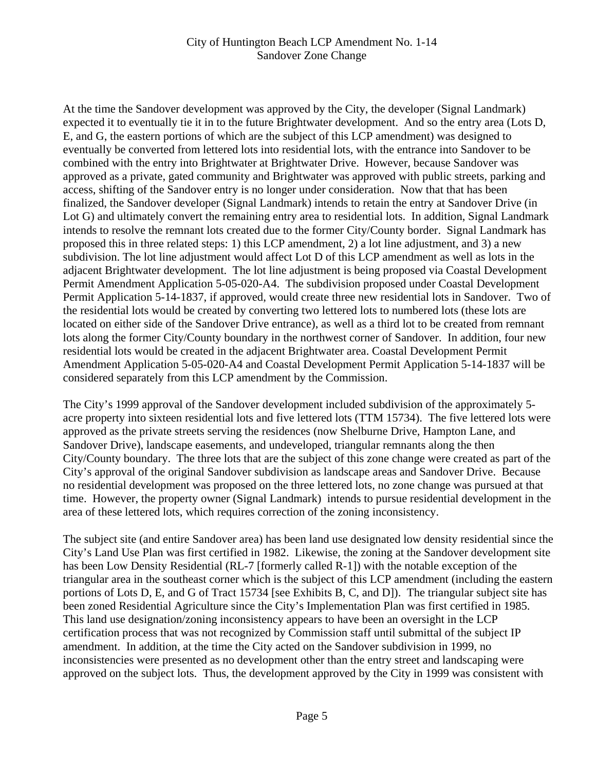#### City of Huntington Beach LCP Amendment No. 1-14 Sandover Zone Change

At the time the Sandover development was approved by the City, the developer (Signal Landmark) expected it to eventually tie it in to the future Brightwater development. And so the entry area (Lots D, E, and G, the eastern portions of which are the subject of this LCP amendment) was designed to eventually be converted from lettered lots into residential lots, with the entrance into Sandover to be combined with the entry into Brightwater at Brightwater Drive. However, because Sandover was approved as a private, gated community and Brightwater was approved with public streets, parking and access, shifting of the Sandover entry is no longer under consideration. Now that that has been finalized, the Sandover developer (Signal Landmark) intends to retain the entry at Sandover Drive (in Lot G) and ultimately convert the remaining entry area to residential lots. In addition, Signal Landmark intends to resolve the remnant lots created due to the former City/County border. Signal Landmark has proposed this in three related steps: 1) this LCP amendment, 2) a lot line adjustment, and 3) a new subdivision. The lot line adjustment would affect Lot D of this LCP amendment as well as lots in the adjacent Brightwater development. The lot line adjustment is being proposed via Coastal Development Permit Amendment Application 5-05-020-A4. The subdivision proposed under Coastal Development Permit Application 5-14-1837, if approved, would create three new residential lots in Sandover. Two of the residential lots would be created by converting two lettered lots to numbered lots (these lots are located on either side of the Sandover Drive entrance), as well as a third lot to be created from remnant lots along the former City/County boundary in the northwest corner of Sandover. In addition, four new residential lots would be created in the adjacent Brightwater area. Coastal Development Permit Amendment Application 5-05-020-A4 and Coastal Development Permit Application 5-14-1837 will be considered separately from this LCP amendment by the Commission.

The City's 1999 approval of the Sandover development included subdivision of the approximately 5 acre property into sixteen residential lots and five lettered lots (TTM 15734). The five lettered lots were approved as the private streets serving the residences (now Shelburne Drive, Hampton Lane, and Sandover Drive), landscape easements, and undeveloped, triangular remnants along the then City/County boundary. The three lots that are the subject of this zone change were created as part of the City's approval of the original Sandover subdivision as landscape areas and Sandover Drive. Because no residential development was proposed on the three lettered lots, no zone change was pursued at that time. However, the property owner (Signal Landmark) intends to pursue residential development in the area of these lettered lots, which requires correction of the zoning inconsistency.

The subject site (and entire Sandover area) has been land use designated low density residential since the City's Land Use Plan was first certified in 1982. Likewise, the zoning at the Sandover development site has been Low Density Residential (RL-7 [formerly called R-1]) with the notable exception of the triangular area in the southeast corner which is the subject of this LCP amendment (including the eastern portions of Lots D, E, and G of Tract 15734 [see Exhibits B, C, and D]). The triangular subject site has been zoned Residential Agriculture since the City's Implementation Plan was first certified in 1985. This land use designation/zoning inconsistency appears to have been an oversight in the LCP certification process that was not recognized by Commission staff until submittal of the subject IP amendment. In addition, at the time the City acted on the Sandover subdivision in 1999, no inconsistencies were presented as no development other than the entry street and landscaping were approved on the subject lots. Thus, the development approved by the City in 1999 was consistent with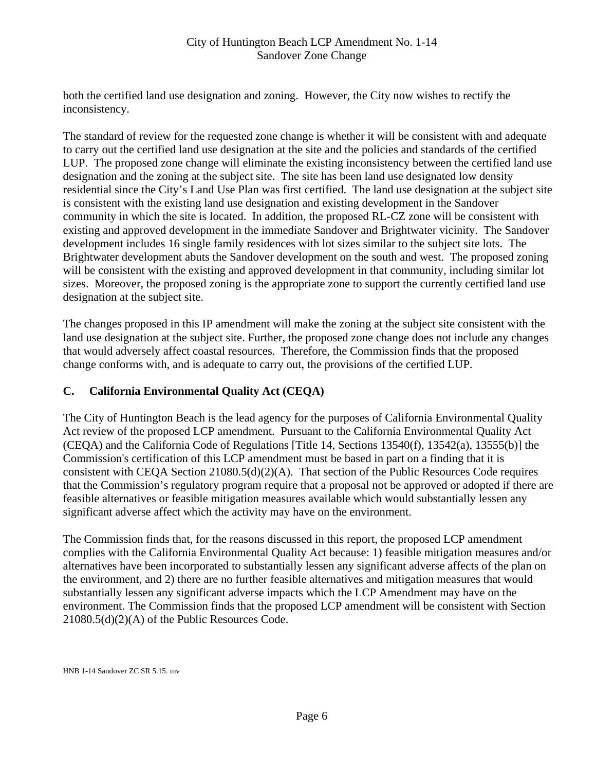#### City of Huntington Beach LCP Amendment No. 1-14 Sandover Zone Change

both the certified land use designation and zoning. However, the City now wishes to rectify the inconsistency.

The standard of review for the requested zone change is whether it will be consistent with and adequate to carry out the certified land use designation at the site and the policies and standards of the certified LUP. The proposed zone change will eliminate the existing inconsistency between the certified land use designation and the zoning at the subject site. The site has been land use designated low density residential since the City's Land Use Plan was first certified. The land use designation at the subject site is consistent with the existing land use designation and existing development in the Sandover community in which the site is located. In addition, the proposed RL-CZ zone will be consistent with existing and approved development in the immediate Sandover and Brightwater vicinity. The Sandover development includes 16 single family residences with lot sizes similar to the subject site lots. The Brightwater development abuts the Sandover development on the south and west. The proposed zoning will be consistent with the existing and approved development in that community, including similar lot sizes. Moreover, the proposed zoning is the appropriate zone to support the currently certified land use designation at the subject site.

The changes proposed in this IP amendment will make the zoning at the subject site consistent with the land use designation at the subject site. Further, the proposed zone change does not include any changes that would adversely affect coastal resources. Therefore, the Commission finds that the proposed change conforms with, and is adequate to carry out, the provisions of the certified LUP.

#### **C. California Environmental Quality Act (CEQA)**

The City of Huntington Beach is the lead agency for the purposes of California Environmental Quality Act review of the proposed LCP amendment. Pursuant to the California Environmental Quality Act (CEQA) and the California Code of Regulations [Title 14, Sections 13540(f), 13542(a), 13555(b)] the Commission's certification of this LCP amendment must be based in part on a finding that it is consistent with CEQA Section 21080.5(d)(2)(A). That section of the Public Resources Code requires that the Commission's regulatory program require that a proposal not be approved or adopted if there are feasible alternatives or feasible mitigation measures available which would substantially lessen any significant adverse affect which the activity may have on the environment.

The Commission finds that, for the reasons discussed in this report, the proposed LCP amendment complies with the California Environmental Quality Act because: 1) feasible mitigation measures and/or alternatives have been incorporated to substantially lessen any significant adverse affects of the plan on the environment, and 2) there are no further feasible alternatives and mitigation measures that would substantially lessen any significant adverse impacts which the LCP Amendment may have on the environment. The Commission finds that the proposed LCP amendment will be consistent with Section 21080.5(d)(2)(A) of the Public Resources Code.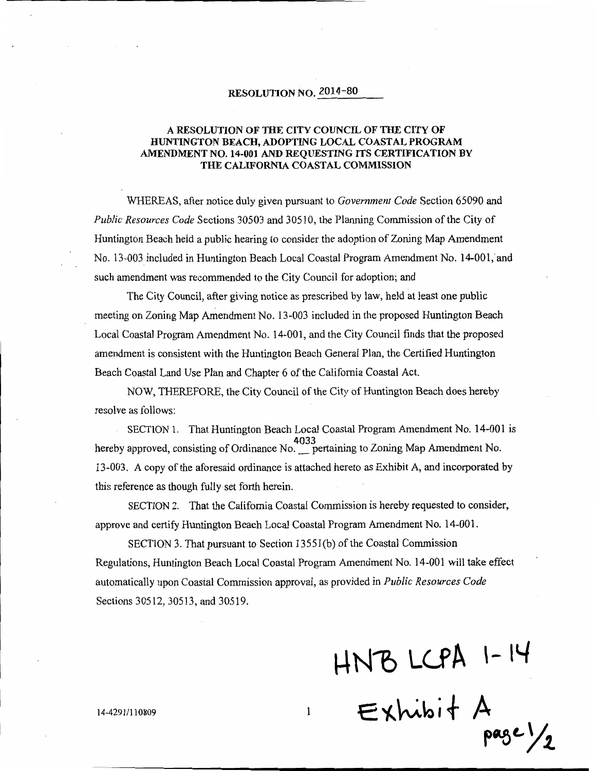#### RESOLUTION NO. 2014-80

#### A RESOLUTION OF THE CITY COUNCIL OF THE CITY OF HUNTINGTON BEACH, ADOPTING LOCAL COASTAL PROGRAM AMENDMENT NO. 14-001 AND REQUESTING ITS CERTIFICATION BY THE CALIFORNIA COASTAL COMMISSION

WHEREAS, after notice duly given pursuant to *Government Code* Section 65090 and *Public Resources Code* Sections 30503 and 30510, the Planning Commission of the City of Huntington Beach held a public hearing to consider the adoption of Zoning Map Amendment No. 13-003 included in Huntington Beach Local Coastal Program Amendment No. 14-001, and such amendment was recommended to the City Council for adoption; and

The City Council, after giving notice as prescribed by law, held at least one public meeting on Zoning Map Amendment No. 13-003 included in the proposed Huntington Beach Local Coastal Program Amendment No. 14-001, and the City Council finds that the proposed amendment is consistent with the Huntington Beach General Plan, the Certified Huntington Beach Coastal Land Use Plan and Chapter 6 of the California Coastal Act.

NOW, THEREFORE, the City Council of the City of Huntington Beach does hereby resolve as follows:

SECTION 1. That Huntington Beach Local Coastal Program Amendment No. 14-001 is hereby approved, consisting of Ordinance No. 1033<br>hereby approved, consisting of Ordinance No. 1997 pertaining to Zoning Map Amendment No. 13-003. A copy of the aforesaid ordinance is attached hereto as Exhibit A, and incorporated by this reference as though fully set forth herein.

SECTION 2. That the California Coastal Commission is hereby requested to consider, approve and certify Huntington Beach Local Coastal Program Amendment No. 14-001.

SECTION 3. That pursuant to Section 13551(b) of the Coastal Commission Regulations, Huntington Beach Local Coastal Program Amendment No. 14-001 will take effect automatically upon Coastal Commission approval, as provided in *Public Resources Code* Sections 30512, 30513, and 30519.

 $\mathbf{1}$ 

 $HNB LCPA 1-14$ <br>Exhibit A page  $\frac{1}{2}$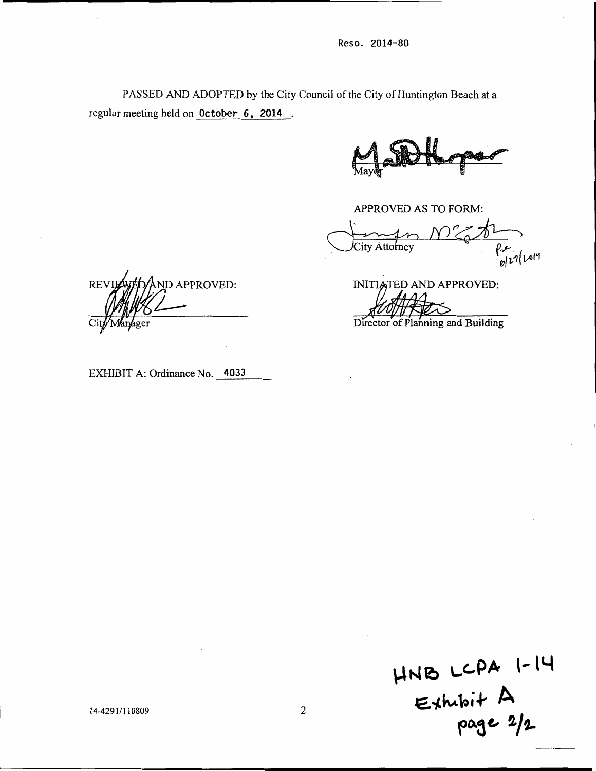PASSED AND ADOPTED by the City Council of the City of Huntington Beach at a regular meeting held on October 6, 2014.

APPROVED AS TO FORM:

 $\rho_{\text{opt}}$ City Attorney

ND APPROVED: **REV** 

INITIATED AND APPROVED:

Director of Planning and Building

EXHIBIT A: Ordinance No. 4033

 $HNB$  LCPA 1-14<br>Exhibit A<br>page 2/2

14-4291/110809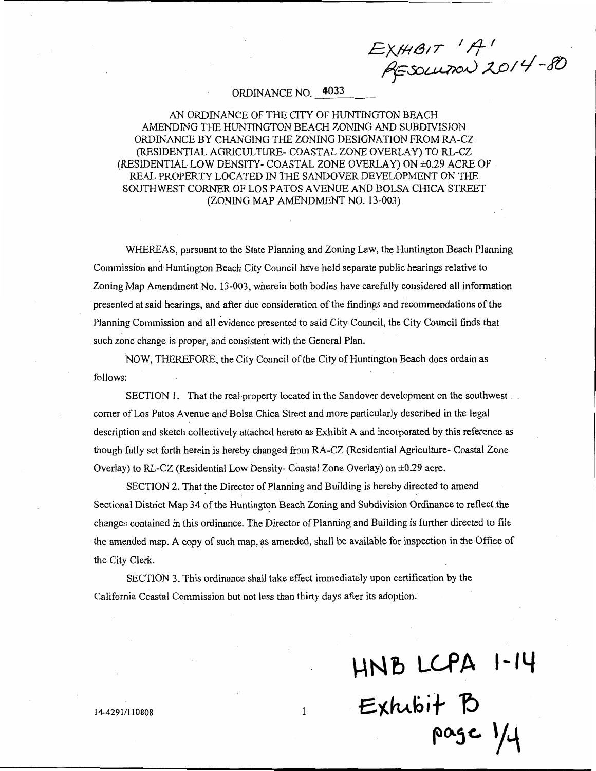EXHIBIT 'A'<br>RESOLUTION 2014-80

#### ORDINANCE NO. 4033

#### AN ORDINANCE OF THE CITY OF HUNTINGTON BEACH AMENDING THE HUNTINGTON BEACH ZONING AND SUBDIVISION ORDINANCE BY CHANGING THE ZONING DESIGNATION FROM RA-CZ (RESIDENTIAL AGRICULTURE- COASTAL ZONE OVERLAY) TO RL-CZ (RESIDENTIAL LOW DENSITY- COASTAL ZONE OVERLAY) ON ±0.29 ACRE OF REAL PROPERTY LOCATED IN THE SANDOVER DEVELOPMENT ON THE SOUTHWEST CORNER OF LOS PATOS AVENUE AND BOLSA CHICA STREET (ZONING MAP AMENDMENT NO. 13-003)

WHEREAS, pursuant to the State Planning and Zoning Law, the Huntington Beach Planning Commission and Huntington Beach City Council have held separate public hearings relative to Zoning Map Amendment No. 13-003, wherein both bodies have carefully considered all information presented at said hearings, and after due consideration of the findings and recommendations of the Planning Commission and all evidence presented to said City Council, the City Council finds that such zone change is proper, and consistent with the General Plan.

NOW, THEREFORE, the City Council of the City of Huntington Beach does ordain as follows:

SECTION 1. That the real property located in the Sandover development on the southwest corner of Los Patos Avenue and Bolsa Chica Street and more particularly described in the legal description and sketch collectively attached hereto as Exhibit A and incorporated by this reference as though fully set forth herein is hereby changed from RA-CZ (Residential Agriculture- Coastal Zone Overlay) to RL-CZ (Residential Low Density- Coastal Zone Overlay) on  $\pm 0.29$  acre.

SECTION 2. That the Director of Planning and Building is hereby directed to amend Sectional District Map 34 of the Huntington Beach Zoning and Subdivision Ordinance to reflect the changes contained in this ordinance. The Director of Planning and Building is further directed to file the amended map. A copy of such map, as amended, shall be available for inspection in the Office of the City Clerk.

 $\mathbf{1}$ 

SECTION 3. This ordinance shall take effect immediately upon certification by the California Coastal Commission but not less than thirty days after its adoption.

HNB LCPA 1-14<br>Exhibit B page 1/4

14-4291/110808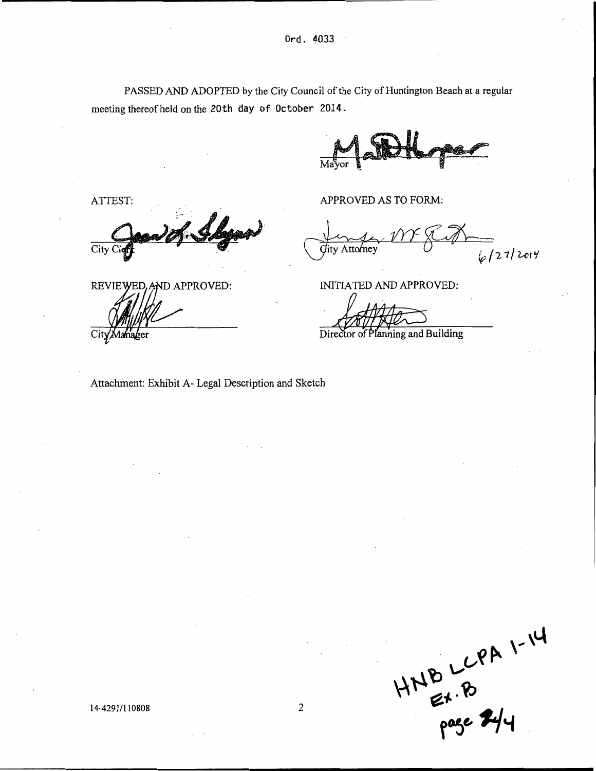PASSED AND ADOPTED by the City Council of the City of Huntington Beach at a regular meeting thereof held on the 20th day of October 2014.

APPROVED AS TO FORM:

 $\sqrt{27/2014}$ Attorney

INITIATED AND APPROVED:

Director of Planning and Building

ATTEST: City C

REVIEWED. AND APPROVED:

Attachment: Exhibit A- Legal Description and Sketch

 $HNB LCPAN 1-14$ <br>page  $R/4$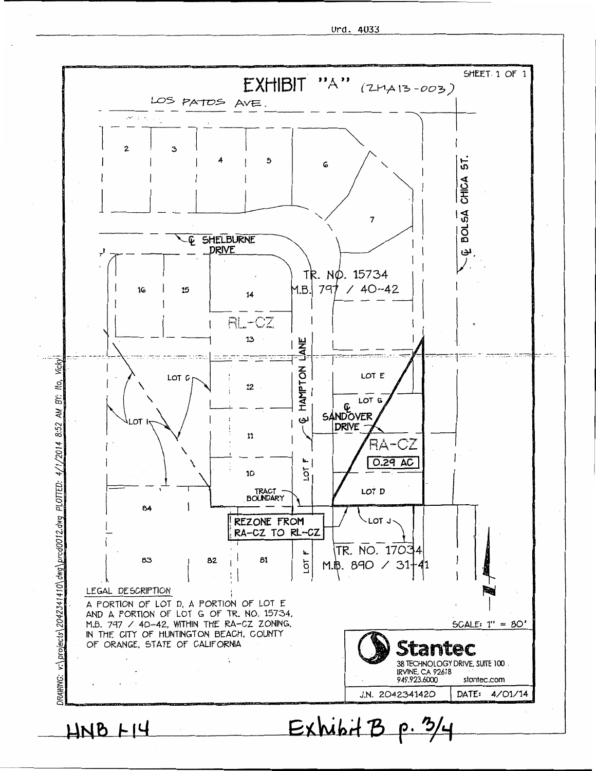Urd. 4033

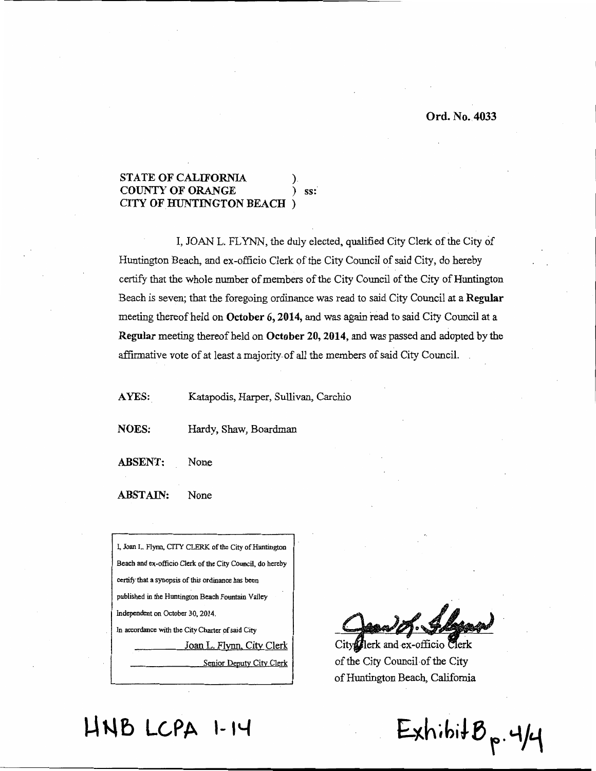#### **STATE OF CALIFORNIA COUNTY OF ORANGE**  $ss:$ CITY OF HUNTINGTON BEACH

I, JOAN L. FLYNN, the duly elected, qualified City Clerk of the City of Huntington Beach, and ex-officio Clerk of the City Council of said City, do hereby certify that the whole number of members of the City Council of the City of Huntington Beach is seven; that the foregoing ordinance was read to said City Council at a Regular meeting thereof held on October 6, 2014, and was again read to said City Council at a Regular meeting thereof held on October 20, 2014, and was passed and adopted by the affirmative vote of at least a majority of all the members of said City Council.

AYES: Katapodis, Harper, Sullivan, Carchio

**NOES:** Hardy, Shaw, Boardman

**ABSENT:** None

**ABSTAIN:** None



lerk and ex-officio Clerk City of the City Council of the City of Huntington Beach, California

 $ExhibitB<sub>p</sub>. 4/4$ 

# HNB LCPA 1-14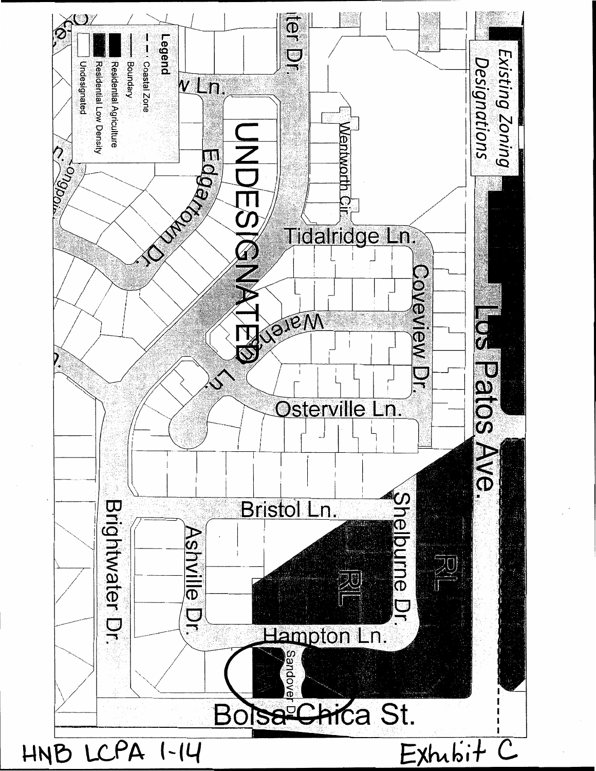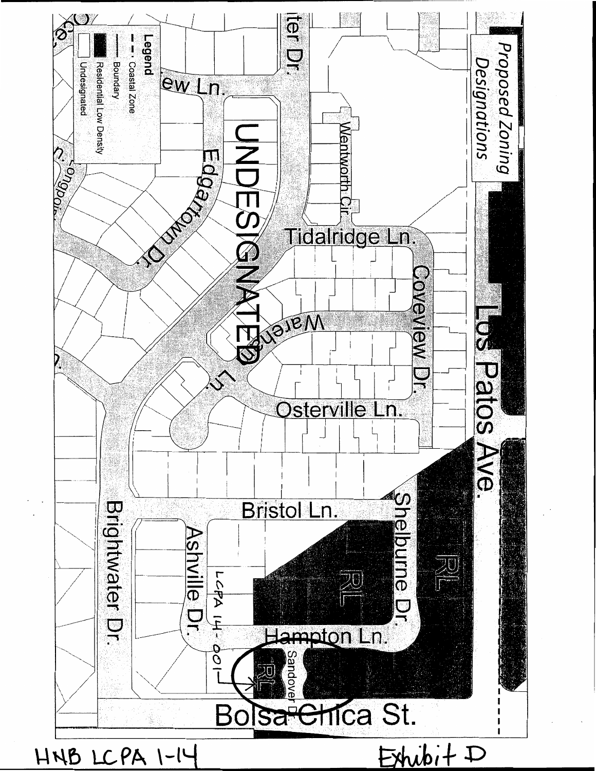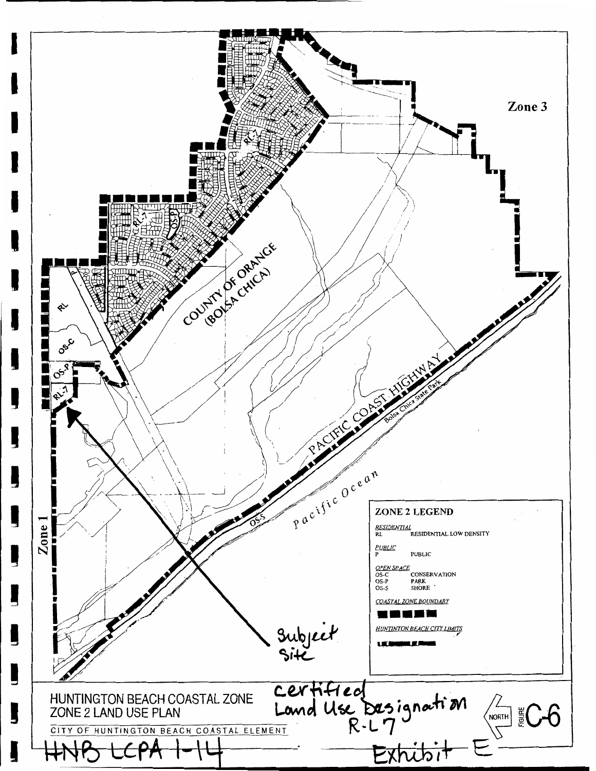